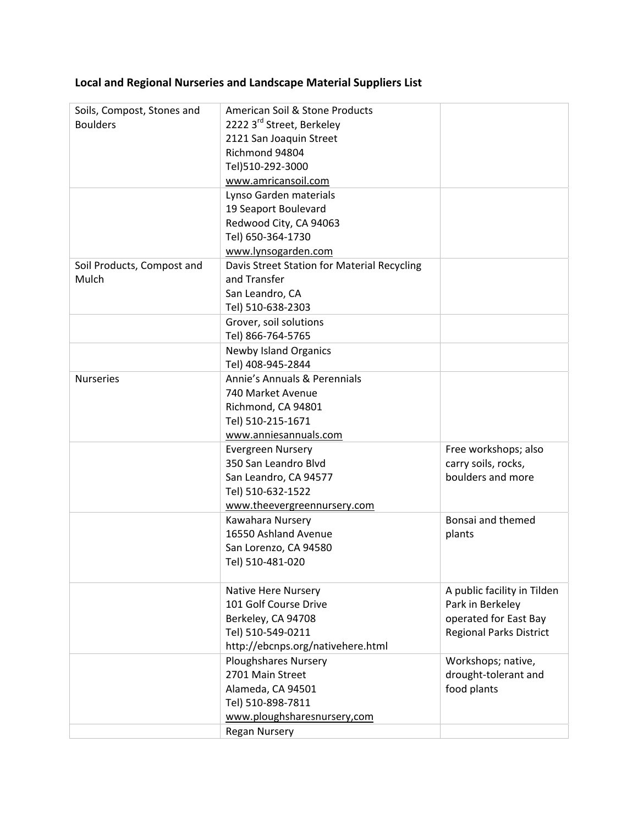# **Local and Regional Nurseries and Landscape Material Suppliers List**

| Soils, Compost, Stones and | American Soil & Stone Products              |                                |
|----------------------------|---------------------------------------------|--------------------------------|
| <b>Boulders</b>            | 2222 3rd Street, Berkeley                   |                                |
|                            | 2121 San Joaquin Street                     |                                |
|                            | Richmond 94804                              |                                |
|                            | Tel)510-292-3000                            |                                |
|                            | www.amricansoil.com                         |                                |
|                            |                                             |                                |
|                            | Lynso Garden materials                      |                                |
|                            | 19 Seaport Boulevard                        |                                |
|                            | Redwood City, CA 94063                      |                                |
|                            | Tel) 650-364-1730                           |                                |
|                            | www.lynsogarden.com                         |                                |
| Soil Products, Compost and | Davis Street Station for Material Recycling |                                |
| Mulch                      | and Transfer                                |                                |
|                            | San Leandro, CA                             |                                |
|                            | Tel) 510-638-2303                           |                                |
|                            | Grover, soil solutions                      |                                |
|                            | Tel) 866-764-5765                           |                                |
|                            | <b>Newby Island Organics</b>                |                                |
|                            | Tel) 408-945-2844                           |                                |
| <b>Nurseries</b>           | Annie's Annuals & Perennials                |                                |
|                            | 740 Market Avenue                           |                                |
|                            | Richmond, CA 94801                          |                                |
|                            | Tel) 510-215-1671                           |                                |
|                            | www.anniesannuals.com                       |                                |
|                            | <b>Evergreen Nursery</b>                    | Free workshops; also           |
|                            | 350 San Leandro Blvd                        | carry soils, rocks,            |
|                            | San Leandro, CA 94577                       | boulders and more              |
|                            | Tel) 510-632-1522                           |                                |
|                            | www.theevergreennursery.com                 |                                |
|                            | Kawahara Nursery                            | Bonsai and themed              |
|                            | 16550 Ashland Avenue                        | plants                         |
|                            |                                             |                                |
|                            | San Lorenzo, CA 94580                       |                                |
|                            | Tel) 510-481-020                            |                                |
|                            | Native Here Nursery                         | A public facility in Tilden    |
|                            | 101 Golf Course Drive                       | Park in Berkeley               |
|                            | Berkeley, CA 94708                          | operated for East Bay          |
|                            | Tel) 510-549-0211                           | <b>Regional Parks District</b> |
|                            |                                             |                                |
|                            | http://ebcnps.org/nativehere.html           |                                |
|                            | <b>Ploughshares Nursery</b>                 | Workshops; native,             |
|                            | 2701 Main Street                            | drought-tolerant and           |
|                            | Alameda, CA 94501                           | food plants                    |
|                            | Tel) 510-898-7811                           |                                |
|                            | www.ploughsharesnursery,com                 |                                |
|                            | <b>Regan Nursery</b>                        |                                |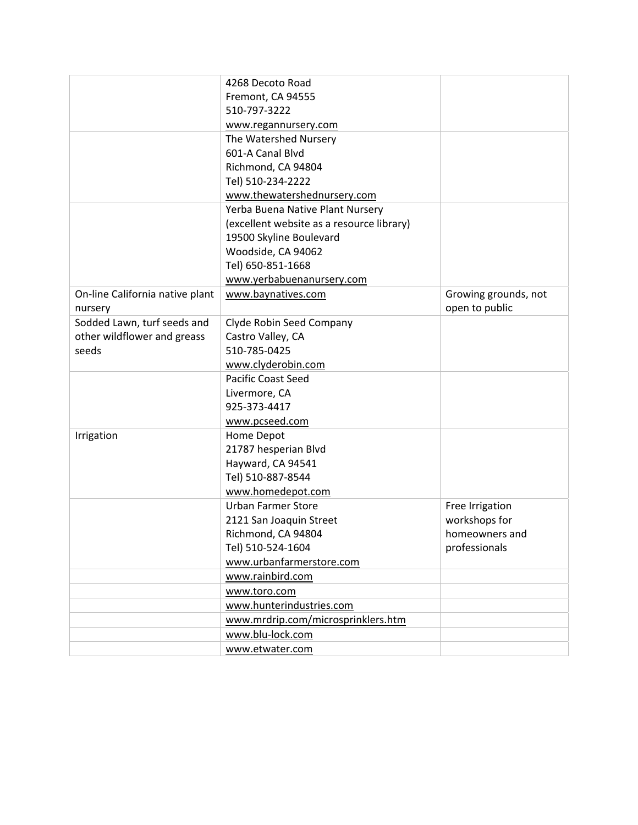|                                 | 4268 Decoto Road                          |                      |
|---------------------------------|-------------------------------------------|----------------------|
|                                 | Fremont, CA 94555                         |                      |
|                                 | 510-797-3222                              |                      |
|                                 | www.regannursery.com                      |                      |
|                                 | The Watershed Nursery                     |                      |
|                                 | 601-A Canal Blvd                          |                      |
|                                 |                                           |                      |
|                                 | Richmond, CA 94804                        |                      |
|                                 | Tel) 510-234-2222                         |                      |
|                                 | www.thewatershednursery.com               |                      |
|                                 | Yerba Buena Native Plant Nursery          |                      |
|                                 | (excellent website as a resource library) |                      |
|                                 | 19500 Skyline Boulevard                   |                      |
|                                 | Woodside, CA 94062                        |                      |
|                                 | Tel) 650-851-1668                         |                      |
|                                 | www.yerbabuenanursery.com                 |                      |
| On-line California native plant | www.baynatives.com                        | Growing grounds, not |
| nursery                         |                                           | open to public       |
| Sodded Lawn, turf seeds and     | Clyde Robin Seed Company                  |                      |
| other wildflower and greass     | Castro Valley, CA                         |                      |
| seeds                           | 510-785-0425                              |                      |
|                                 | www.clyderobin.com                        |                      |
|                                 | <b>Pacific Coast Seed</b>                 |                      |
|                                 | Livermore, CA                             |                      |
|                                 | 925-373-4417                              |                      |
|                                 | www.pcseed.com                            |                      |
| Irrigation                      | Home Depot                                |                      |
|                                 | 21787 hesperian Blvd                      |                      |
|                                 | Hayward, CA 94541                         |                      |
|                                 | Tel) 510-887-8544                         |                      |
|                                 |                                           |                      |
|                                 | www.homedepot.com                         |                      |
|                                 | <b>Urban Farmer Store</b>                 | Free Irrigation      |
|                                 | 2121 San Joaquin Street                   | workshops for        |
|                                 | Richmond, CA 94804                        | homeowners and       |
|                                 | Tel) 510-524-1604                         | professionals        |
|                                 | www.urbanfarmerstore.com                  |                      |
|                                 | www.rainbird.com                          |                      |
|                                 | www.toro.com                              |                      |
|                                 | www.hunterindustries.com                  |                      |
|                                 | www.mrdrip.com/microsprinklers.htm        |                      |
|                                 | www.blu-lock.com                          |                      |
|                                 | www.etwater.com                           |                      |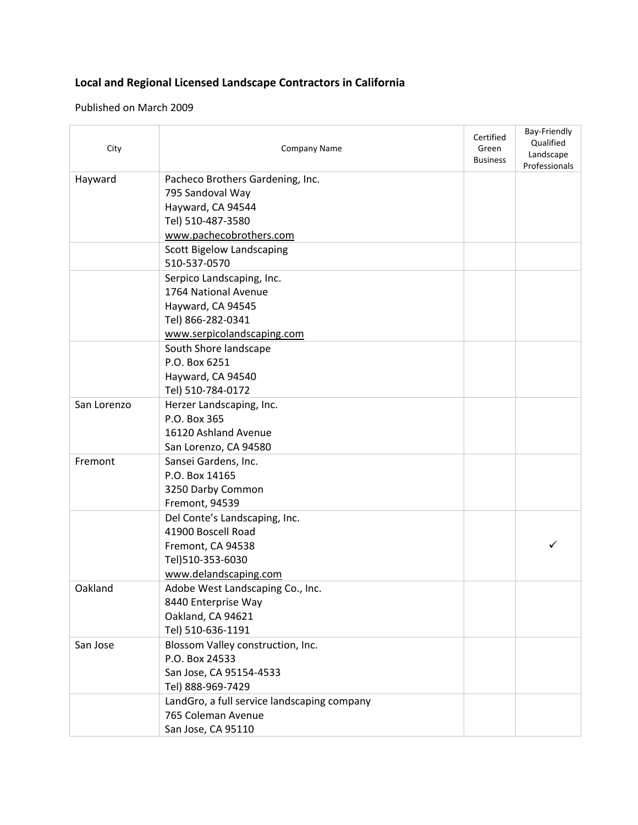# **Local and Regional Licensed Landscape Contractors in California**

### Published on March 2009

| City        | <b>Company Name</b>                                       | Certified<br>Green<br><b>Business</b> | Bay-Friendly<br>Qualified<br>Landscape<br>Professionals |
|-------------|-----------------------------------------------------------|---------------------------------------|---------------------------------------------------------|
| Hayward     | Pacheco Brothers Gardening, Inc.                          |                                       |                                                         |
|             | 795 Sandoval Way                                          |                                       |                                                         |
|             | Hayward, CA 94544                                         |                                       |                                                         |
|             | Tel) 510-487-3580                                         |                                       |                                                         |
|             | www.pachecobrothers.com                                   |                                       |                                                         |
|             | Scott Bigelow Landscaping                                 |                                       |                                                         |
|             | 510-537-0570                                              |                                       |                                                         |
|             | Serpico Landscaping, Inc.                                 |                                       |                                                         |
|             | 1764 National Avenue                                      |                                       |                                                         |
|             | Hayward, CA 94545                                         |                                       |                                                         |
|             | Tel) 866-282-0341                                         |                                       |                                                         |
|             | www.serpicolandscaping.com                                |                                       |                                                         |
|             | South Shore landscape                                     |                                       |                                                         |
|             | P.O. Box 6251                                             |                                       |                                                         |
|             | Hayward, CA 94540                                         |                                       |                                                         |
|             | Tel) 510-784-0172                                         |                                       |                                                         |
| San Lorenzo | Herzer Landscaping, Inc.                                  |                                       |                                                         |
|             | P.O. Box 365                                              |                                       |                                                         |
|             | 16120 Ashland Avenue                                      |                                       |                                                         |
|             | San Lorenzo, CA 94580                                     |                                       |                                                         |
| Fremont     | Sansei Gardens, Inc.                                      |                                       |                                                         |
|             | P.O. Box 14165                                            |                                       |                                                         |
|             | 3250 Darby Common                                         |                                       |                                                         |
|             | Fremont, 94539                                            |                                       |                                                         |
|             | Del Conte's Landscaping, Inc.                             |                                       |                                                         |
|             | 41900 Boscell Road                                        |                                       |                                                         |
|             | Fremont, CA 94538                                         |                                       |                                                         |
|             | Tel)510-353-6030                                          |                                       |                                                         |
| Oakland     | www.delandscaping.com<br>Adobe West Landscaping Co., Inc. |                                       |                                                         |
|             | 8440 Enterprise Way                                       |                                       |                                                         |
|             | Oakland, CA 94621                                         |                                       |                                                         |
|             | Tel) 510-636-1191                                         |                                       |                                                         |
| San Jose    | Blossom Valley construction, Inc.                         |                                       |                                                         |
|             | P.O. Box 24533                                            |                                       |                                                         |
|             | San Jose, CA 95154-4533                                   |                                       |                                                         |
|             | Tel) 888-969-7429                                         |                                       |                                                         |
|             | LandGro, a full service landscaping company               |                                       |                                                         |
|             | 765 Coleman Avenue                                        |                                       |                                                         |
|             | San Jose, CA 95110                                        |                                       |                                                         |
|             |                                                           |                                       |                                                         |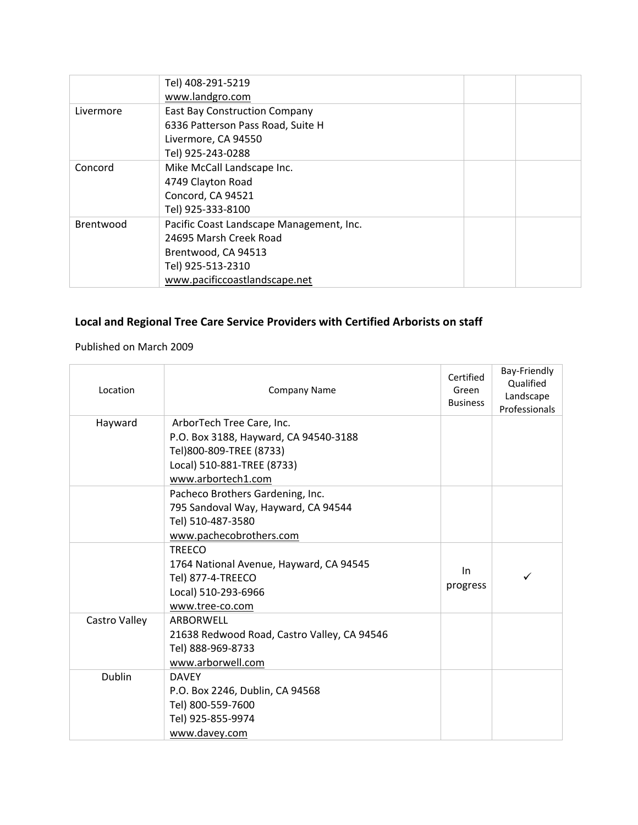|           | Tel) 408-291-5219                        |
|-----------|------------------------------------------|
|           | www.landgro.com                          |
| Livermore | <b>East Bay Construction Company</b>     |
|           | 6336 Patterson Pass Road, Suite H        |
|           | Livermore, CA 94550                      |
|           | Tel) 925-243-0288                        |
| Concord   | Mike McCall Landscape Inc.               |
|           | 4749 Clayton Road                        |
|           | Concord, CA 94521                        |
|           | Tel) 925-333-8100                        |
| Brentwood | Pacific Coast Landscape Management, Inc. |
|           | 24695 Marsh Creek Road                   |
|           | Brentwood, CA 94513                      |
|           | Tel) 925-513-2310                        |
|           | www.pacificcoastlandscape.net            |

# **Local and Regional Tree Care Service Providers with Certified Arborists on staff**

## Published on March 2009

| Location      | <b>Company Name</b>                         | Certified<br>Green<br><b>Business</b> | Bay-Friendly<br>Qualified<br>Landscape<br>Professionals |
|---------------|---------------------------------------------|---------------------------------------|---------------------------------------------------------|
| Hayward       | ArborTech Tree Care, Inc.                   |                                       |                                                         |
|               | P.O. Box 3188, Hayward, CA 94540-3188       |                                       |                                                         |
|               | Tel)800-809-TREE (8733)                     |                                       |                                                         |
|               | Local) 510-881-TREE (8733)                  |                                       |                                                         |
|               | www.arbortech1.com                          |                                       |                                                         |
|               | Pacheco Brothers Gardening, Inc.            |                                       |                                                         |
|               | 795 Sandoval Way, Hayward, CA 94544         |                                       |                                                         |
|               | Tel) 510-487-3580                           |                                       |                                                         |
|               | www.pachecobrothers.com                     |                                       |                                                         |
|               | <b>TREECO</b>                               |                                       |                                                         |
|               | 1764 National Avenue, Hayward, CA 94545     | In                                    |                                                         |
|               | Tel) 877-4-TREECO                           | progress                              | ✓                                                       |
|               | Local) 510-293-6966                         |                                       |                                                         |
|               | www.tree-co.com                             |                                       |                                                         |
| Castro Valley | ARBORWFLL                                   |                                       |                                                         |
|               | 21638 Redwood Road, Castro Valley, CA 94546 |                                       |                                                         |
|               | Tel) 888-969-8733                           |                                       |                                                         |
|               | www.arborwell.com                           |                                       |                                                         |
| <b>Dublin</b> | <b>DAVFY</b>                                |                                       |                                                         |
|               | P.O. Box 2246, Dublin, CA 94568             |                                       |                                                         |
|               | Tel) 800-559-7600                           |                                       |                                                         |
|               | Tel) 925-855-9974                           |                                       |                                                         |
|               | www.davey.com                               |                                       |                                                         |